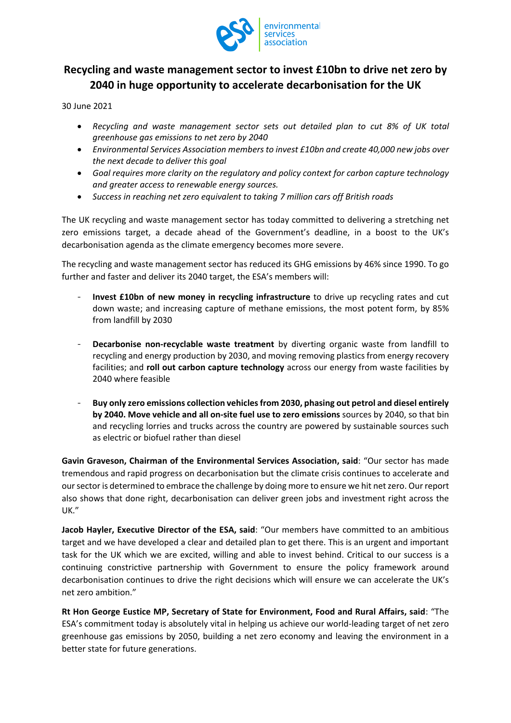

## **Recycling and waste management sector to invest £10bn to drive net zero by 2040 in huge opportunity to accelerate decarbonisation for the UK**

30 June 2021

- *Recycling and waste management sector sets out detailed plan to cut 8% of UK total greenhouse gas emissions to net zero by 2040*
- *Environmental Services Association members to invest £10bn and create 40,000 new jobs over the next decade to deliver this goal*
- *Goal requires more clarity on the regulatory and policy context for carbon capture technology and greater access to renewable energy sources.*
- *Success in reaching net zero equivalent to taking 7 million cars off British roads*

The UK recycling and waste management sector has today committed to delivering a stretching net zero emissions target, a decade ahead of the Government's deadline, in a boost to the UK's decarbonisation agenda as the climate emergency becomes more severe.

The recycling and waste management sector has reduced its GHG emissions by 46% since 1990. To go further and faster and deliver its 2040 target, the ESA's members will:

- **Invest £10bn of new money in recycling infrastructure** to drive up recycling rates and cut down waste; and increasing capture of methane emissions, the most potent form, by 85% from landfill by 2030
- **Decarbonise non-recyclable waste treatment** by diverting organic waste from landfill to recycling and energy production by 2030, and moving removing plastics from energy recovery facilities; and **roll out carbon capture technology** across our energy from waste facilities by 2040 where feasible
- **Buy only zero emissions collection vehicles from 2030, phasing out petrol and diesel entirely by 2040. Move vehicle and all on-site fuel use to zero emissions** sources by 2040, so that bin and recycling lorries and trucks across the country are powered by sustainable sources such as electric or biofuel rather than diesel

**Gavin Graveson, Chairman of the Environmental Services Association, said**: "Our sector has made tremendous and rapid progress on decarbonisation but the climate crisis continues to accelerate and our sector is determined to embrace the challenge by doing more to ensure we hit net zero. Our report also shows that done right, decarbonisation can deliver green jobs and investment right across the UK."

**Jacob Hayler, Executive Director of the ESA, said**: "Our members have committed to an ambitious target and we have developed a clear and detailed plan to get there. This is an urgent and important task for the UK which we are excited, willing and able to invest behind. Critical to our success is a continuing constrictive partnership with Government to ensure the policy framework around decarbonisation continues to drive the right decisions which will ensure we can accelerate the UK's net zero ambition."

**Rt Hon George Eustice MP, Secretary of State for Environment, Food and Rural Affairs, said**: "The ESA's commitment today is absolutely vital in helping us achieve our world-leading target of net zero greenhouse gas emissions by 2050, building a net zero economy and leaving the environment in a better state for future generations.